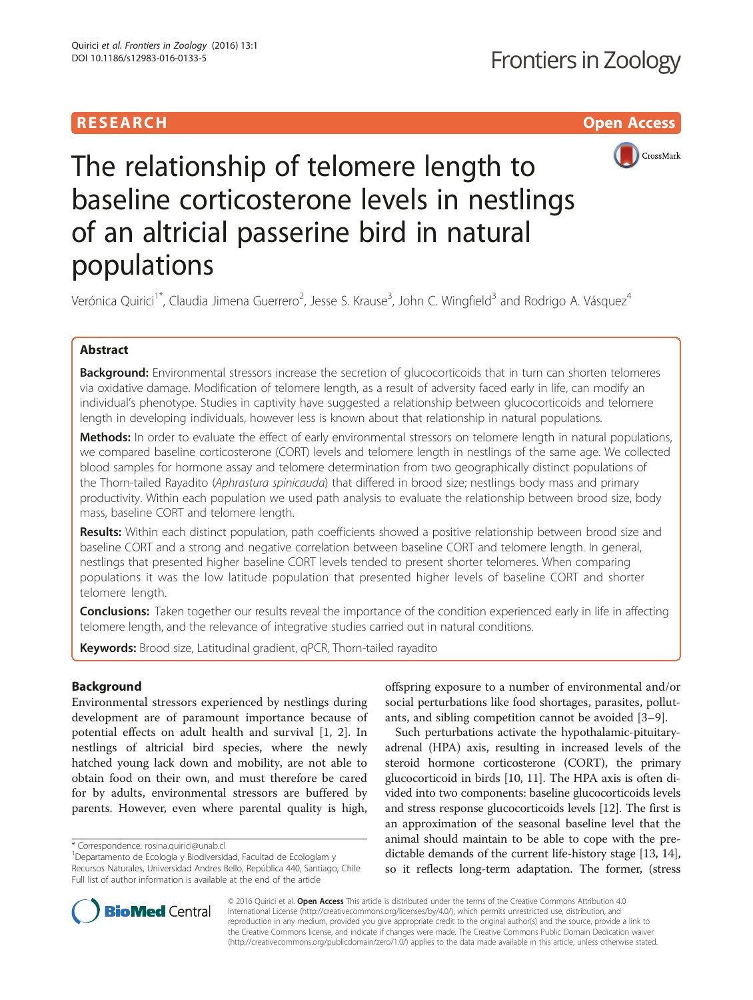# **RESEARCH CHILD CONTROL** CONTROL CONTROL CONTROL CONTROL CONTROL CONTROL CONTROL CONTROL CONTROL CONTROL CONTROL



# The relationship of telomere length to baseline corticosterone levels in nestlings of an altricial passerine bird in natural populations

Verónica Quirici<sup>1\*</sup>, Claudia Jimena Guerrero<sup>2</sup>, Jesse S. Krause<sup>3</sup>, John C. Wingfield<sup>3</sup> and Rodrigo A. Vásquez<sup>4</sup>

# Abstract

Background: Environmental stressors increase the secretion of glucocorticoids that in turn can shorten telomeres via oxidative damage. Modification of telomere length, as a result of adversity faced early in life, can modify an individual's phenotype. Studies in captivity have suggested a relationship between glucocorticoids and telomere length in developing individuals, however less is known about that relationship in natural populations.

Methods: In order to evaluate the effect of early environmental stressors on telomere length in natural populations, we compared baseline corticosterone (CORT) levels and telomere length in nestlings of the same age. We collected blood samples for hormone assay and telomere determination from two geographically distinct populations of the Thorn-tailed Rayadito (Aphrastura spinicauda) that differed in brood size; nestlings body mass and primary productivity. Within each population we used path analysis to evaluate the relationship between brood size, body mass, baseline CORT and telomere length.

Results: Within each distinct population, path coefficients showed a positive relationship between brood size and baseline CORT and a strong and negative correlation between baseline CORT and telomere length. In general, nestlings that presented higher baseline CORT levels tended to present shorter telomeres. When comparing populations it was the low latitude population that presented higher levels of baseline CORT and shorter telomere length.

**Conclusions:** Taken together our results reveal the importance of the condition experienced early in life in affecting telomere length, and the relevance of integrative studies carried out in natural conditions.

Keywords: Brood size, Latitudinal gradient, qPCR, Thorn-tailed rayadito

# Background

Environmental stressors experienced by nestlings during development are of paramount importance because of potential effects on adult health and survival [[1, 2](#page-8-0)]. In nestlings of altricial bird species, where the newly hatched young lack down and mobility, are not able to obtain food on their own, and must therefore be cared for by adults, environmental stressors are buffered by parents. However, even where parental quality is high,

offspring exposure to a number of environmental and/or social perturbations like food shortages, parasites, pollutants, and sibling competition cannot be avoided [\[3](#page-8-0)–[9](#page-9-0)].

Such perturbations activate the hypothalamic-pituitaryadrenal (HPA) axis, resulting in increased levels of the steroid hormone corticosterone (CORT), the primary glucocorticoid in birds [[10, 11](#page-9-0)]. The HPA axis is often divided into two components: baseline glucocorticoids levels and stress response glucocorticoids levels [\[12\]](#page-9-0). The first is an approximation of the seasonal baseline level that the animal should maintain to be able to cope with the predictable demands of the current life-history stage [\[13, 14](#page-9-0)], so it reflects long-term adaptation. The former, (stress



© 2016 Ouirici et al. Open Access This article is distributed under the terms of the Creative Commons Attribution 4.0 International License [\(http://creativecommons.org/licenses/by/4.0/](http://creativecommons.org/licenses/by/4.0/)), which permits unrestricted use, distribution, and reproduction in any medium, provided you give appropriate credit to the original author(s) and the source, provide a link to the Creative Commons license, and indicate if changes were made. The Creative Commons Public Domain Dedication waiver [\(http://creativecommons.org/publicdomain/zero/1.0/](http://creativecommons.org/publicdomain/zero/1.0/)) applies to the data made available in this article, unless otherwise stated.

<sup>\*</sup> Correspondence: [rosina.quirici@unab.cl](mailto:rosina.quirici@unab.cl) <sup>1</sup>

Departamento de Ecología y Biodiversidad, Facultad de Ecologíam y Recursos Naturales, Universidad Andres Bello, República 440, Santiago, Chile Full list of author information is available at the end of the article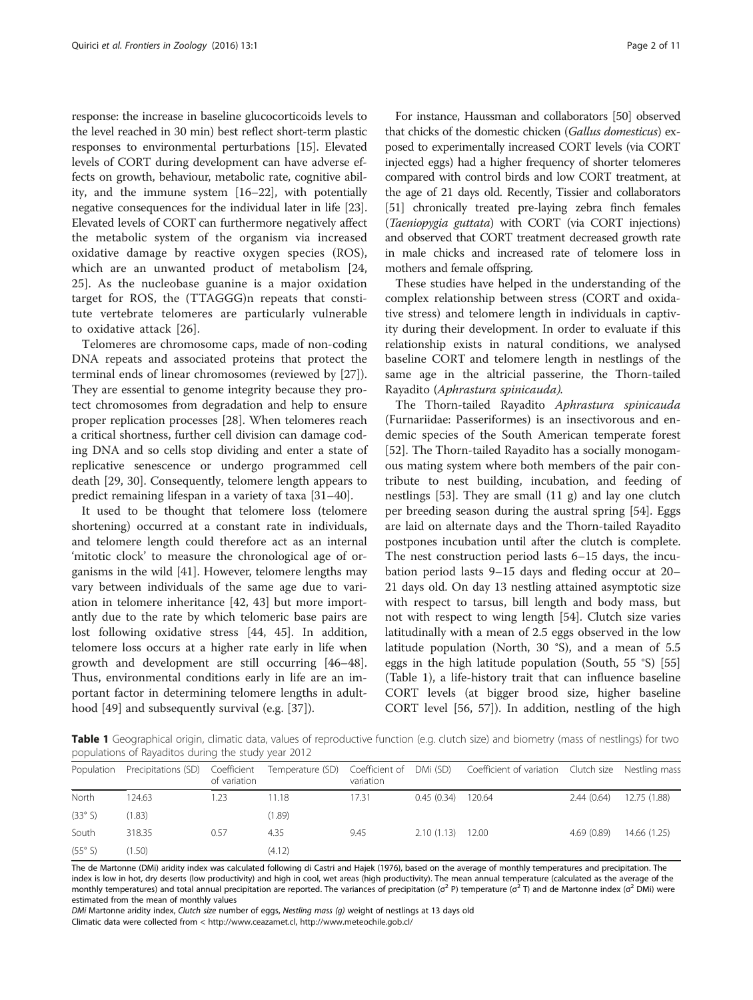<span id="page-1-0"></span>response: the increase in baseline glucocorticoids levels to the level reached in 30 min) best reflect short-term plastic responses to environmental perturbations [\[15](#page-9-0)]. Elevated levels of CORT during development can have adverse effects on growth, behaviour, metabolic rate, cognitive ability, and the immune system [\[16](#page-9-0)–[22](#page-9-0)], with potentially negative consequences for the individual later in life [[23](#page-9-0)]. Elevated levels of CORT can furthermore negatively affect the metabolic system of the organism via increased oxidative damage by reactive oxygen species (ROS), which are an unwanted product of metabolism [\[24](#page-9-0), [25\]](#page-9-0). As the nucleobase guanine is a major oxidation target for ROS, the (TTAGGG)n repeats that constitute vertebrate telomeres are particularly vulnerable to oxidative attack [[26\]](#page-9-0).

Telomeres are chromosome caps, made of non-coding DNA repeats and associated proteins that protect the terminal ends of linear chromosomes (reviewed by [\[27](#page-9-0)]). They are essential to genome integrity because they protect chromosomes from degradation and help to ensure proper replication processes [[28\]](#page-9-0). When telomeres reach a critical shortness, further cell division can damage coding DNA and so cells stop dividing and enter a state of replicative senescence or undergo programmed cell death [[29](#page-9-0), [30](#page-9-0)]. Consequently, telomere length appears to predict remaining lifespan in a variety of taxa [[31](#page-9-0)–[40](#page-9-0)].

It used to be thought that telomere loss (telomere shortening) occurred at a constant rate in individuals, and telomere length could therefore act as an internal 'mitotic clock' to measure the chronological age of organisms in the wild [[41\]](#page-9-0). However, telomere lengths may vary between individuals of the same age due to variation in telomere inheritance [[42, 43](#page-9-0)] but more importantly due to the rate by which telomeric base pairs are lost following oxidative stress [[44](#page-9-0), [45](#page-9-0)]. In addition, telomere loss occurs at a higher rate early in life when growth and development are still occurring [[46](#page-9-0)–[48](#page-9-0)]. Thus, environmental conditions early in life are an important factor in determining telomere lengths in adulthood [[49](#page-9-0)] and subsequently survival (e.g. [\[37](#page-9-0)]).

For instance, Haussman and collaborators [\[50\]](#page-9-0) observed that chicks of the domestic chicken (Gallus domesticus) exposed to experimentally increased CORT levels (via CORT injected eggs) had a higher frequency of shorter telomeres compared with control birds and low CORT treatment, at the age of 21 days old. Recently, Tissier and collaborators [[51](#page-9-0)] chronically treated pre-laying zebra finch females (Taeniopygia guttata) with CORT (via CORT injections) and observed that CORT treatment decreased growth rate in male chicks and increased rate of telomere loss in mothers and female offspring.

These studies have helped in the understanding of the complex relationship between stress (CORT and oxidative stress) and telomere length in individuals in captivity during their development. In order to evaluate if this relationship exists in natural conditions, we analysed baseline CORT and telomere length in nestlings of the same age in the altricial passerine, the Thorn-tailed Rayadito (Aphrastura spinicauda).

The Thorn-tailed Rayadito Aphrastura spinicauda (Furnariidae: Passeriformes) is an insectivorous and endemic species of the South American temperate forest [[52\]](#page-9-0). The Thorn-tailed Rayadito has a socially monogamous mating system where both members of the pair contribute to nest building, incubation, and feeding of nestlings [\[53](#page-9-0)]. They are small (11 g) and lay one clutch per breeding season during the austral spring [\[54\]](#page-9-0). Eggs are laid on alternate days and the Thorn-tailed Rayadito postpones incubation until after the clutch is complete. The nest construction period lasts 6–15 days, the incubation period lasts 9–15 days and fleding occur at 20– 21 days old. On day 13 nestling attained asymptotic size with respect to tarsus, bill length and body mass, but not with respect to wing length [[54\]](#page-9-0). Clutch size varies latitudinally with a mean of 2.5 eggs observed in the low latitude population (North, 30 °S), and a mean of 5.5 eggs in the high latitude population (South, 55 °S) [[55](#page-9-0)] (Table 1), a life-history trait that can influence baseline CORT levels (at bigger brood size, higher baseline CORT level [[56, 57](#page-10-0)]). In addition, nestling of the high

Table 1 Geographical origin, climatic data, values of reproductive function (e.g. clutch size) and biometry (mass of nestlings) for two populations of Rayaditos during the study year 2012

|                  | Population Precipitations (SD) Coefficient Temperature (SD) Coefficient of | of variation |        | variation |                    | DMi (SD) Coefficient of variation Clutch size Nestling mass |            |              |
|------------------|----------------------------------------------------------------------------|--------------|--------|-----------|--------------------|-------------------------------------------------------------|------------|--------------|
| North            | 124.63                                                                     | 1.23         | 11.18  | 17.31     | 0.45(0.34)         | 120.64                                                      | 2.44(0.64) | 12.75 (1.88) |
| $(33^\circ S)$   | (1.83)                                                                     |              | (1.89) |           |                    |                                                             |            |              |
| South            | 318.35                                                                     | 0.57         | 4.35   | 9.45      | $2.10(1.13)$ 12.00 |                                                             | 4.69(0.89) | 14.66 (1.25) |
| $(55^{\circ} S)$ | (1.50)                                                                     |              | (4.12) |           |                    |                                                             |            |              |

The de Martonne (DMi) aridity index was calculated following di Castri and Hajek (1976), based on the average of monthly temperatures and precipitation. The index is low in hot, dry deserts (low productivity) and high in cool, wet areas (high productivity). The mean annual temperature (calculated as the average of the monthly temperatures) and total annual precipitation are reported. The variances of precipitation ( $\sigma^2$  P) temperature ( $\sigma^2$  T) and de Martonne index ( $\sigma^2$  DMi) were estimated from the mean of monthly values

DMi Martonne aridity index, Clutch size number of eggs, Nestling mass (g) weight of nestlings at 13 days old Climatic data were collected from < [http://www.ceazamet.cl,](http://www.ceazamet.cl) <http://www.meteochile.gob.cl/>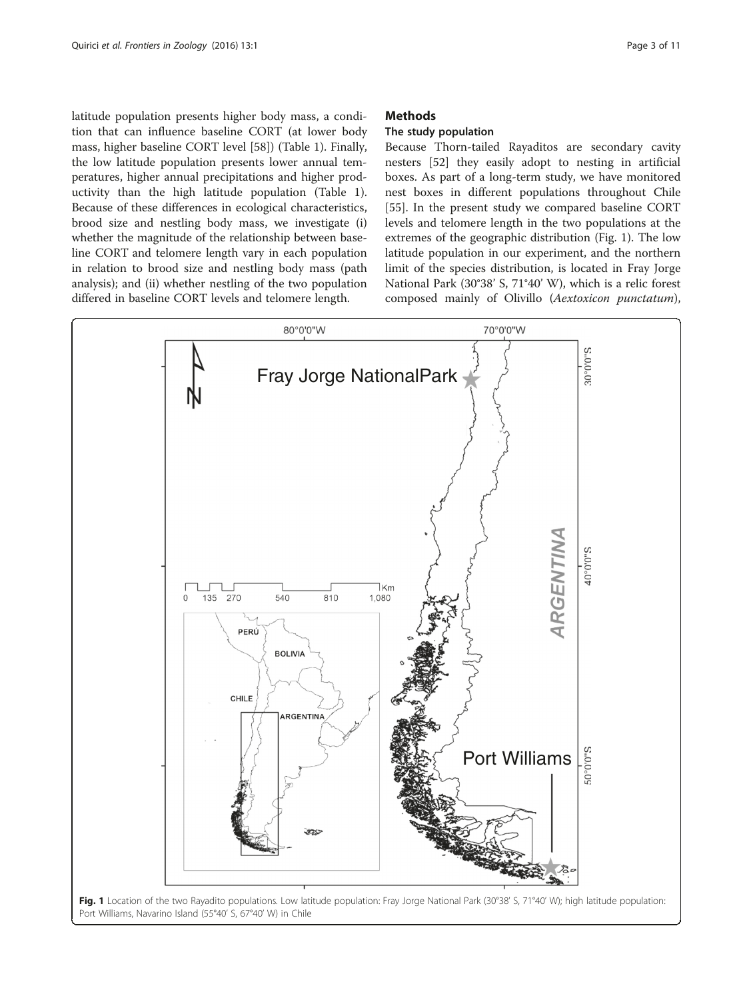latitude population presents higher body mass, a condition that can influence baseline CORT (at lower body mass, higher baseline CORT level [[58\]](#page-10-0)) (Table [1](#page-1-0)). Finally, the low latitude population presents lower annual temperatures, higher annual precipitations and higher productivity than the high latitude population (Table [1](#page-1-0)). Because of these differences in ecological characteristics, brood size and nestling body mass, we investigate (i) whether the magnitude of the relationship between baseline CORT and telomere length vary in each population in relation to brood size and nestling body mass (path analysis); and (ii) whether nestling of the two population differed in baseline CORT levels and telomere length.

### **Methods**

## The study population

Because Thorn-tailed Rayaditos are secondary cavity nesters [\[52](#page-9-0)] they easily adopt to nesting in artificial boxes. As part of a long-term study, we have monitored nest boxes in different populations throughout Chile [[55\]](#page-9-0). In the present study we compared baseline CORT levels and telomere length in the two populations at the extremes of the geographic distribution (Fig. 1). The low latitude population in our experiment, and the northern limit of the species distribution, is located in Fray Jorge National Park (30°38' S, 71°40' W), which is a relic forest composed mainly of Olivillo (Aextoxicon punctatum),

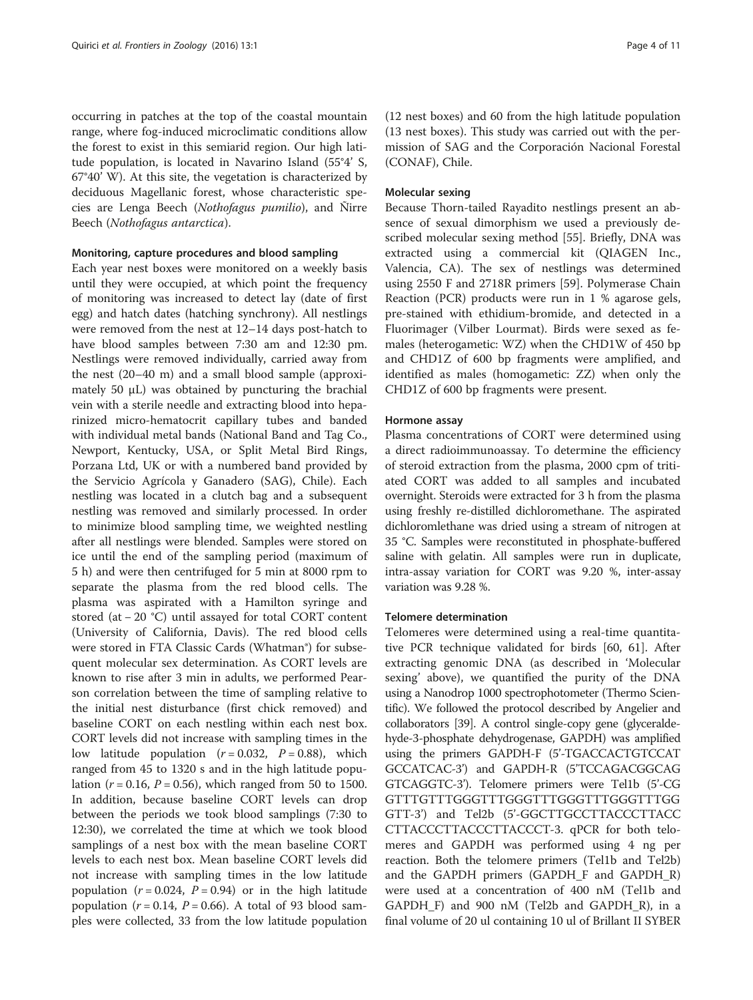occurring in patches at the top of the coastal mountain range, where fog-induced microclimatic conditions allow the forest to exist in this semiarid region. Our high latitude population, is located in Navarino Island (55°4' S, 67°40' W). At this site, the vegetation is characterized by deciduous Magellanic forest, whose characteristic species are Lenga Beech (Nothofagus pumilio), and Ñirre Beech (Nothofagus antarctica).

## Monitoring, capture procedures and blood sampling

Each year nest boxes were monitored on a weekly basis until they were occupied, at which point the frequency of monitoring was increased to detect lay (date of first egg) and hatch dates (hatching synchrony). All nestlings were removed from the nest at 12–14 days post-hatch to have blood samples between 7:30 am and 12:30 pm. Nestlings were removed individually, carried away from the nest (20–40 m) and a small blood sample (approximately 50  $\mu$ L) was obtained by puncturing the brachial vein with a sterile needle and extracting blood into heparinized micro-hematocrit capillary tubes and banded with individual metal bands (National Band and Tag Co., Newport, Kentucky, USA, or Split Metal Bird Rings, Porzana Ltd, UK or with a numbered band provided by the Servicio Agrícola y Ganadero (SAG), Chile). Each nestling was located in a clutch bag and a subsequent nestling was removed and similarly processed. In order to minimize blood sampling time, we weighted nestling after all nestlings were blended. Samples were stored on ice until the end of the sampling period (maximum of 5 h) and were then centrifuged for 5 min at 8000 rpm to separate the plasma from the red blood cells. The plasma was aspirated with a Hamilton syringe and stored (at − 20 °C) until assayed for total CORT content (University of California, Davis). The red blood cells were stored in FTA Classic Cards (Whatman®) for subsequent molecular sex determination. As CORT levels are known to rise after 3 min in adults, we performed Pearson correlation between the time of sampling relative to the initial nest disturbance (first chick removed) and baseline CORT on each nestling within each nest box. CORT levels did not increase with sampling times in the low latitude population  $(r = 0.032, P = 0.88)$ , which ranged from 45 to 1320 s and in the high latitude population ( $r = 0.16$ ,  $P = 0.56$ ), which ranged from 50 to 1500. In addition, because baseline CORT levels can drop between the periods we took blood samplings (7:30 to 12:30), we correlated the time at which we took blood samplings of a nest box with the mean baseline CORT levels to each nest box. Mean baseline CORT levels did not increase with sampling times in the low latitude population ( $r = 0.024$ ,  $P = 0.94$ ) or in the high latitude population ( $r = 0.14$ ,  $P = 0.66$ ). A total of 93 blood samples were collected, 33 from the low latitude population (12 nest boxes) and 60 from the high latitude population (13 nest boxes). This study was carried out with the permission of SAG and the Corporación Nacional Forestal (CONAF), Chile.

#### Molecular sexing

Because Thorn-tailed Rayadito nestlings present an absence of sexual dimorphism we used a previously described molecular sexing method [\[55\]](#page-9-0). Briefly, DNA was extracted using a commercial kit (QIAGEN Inc., Valencia, CA). The sex of nestlings was determined using 2550 F and 2718R primers [\[59\]](#page-10-0). Polymerase Chain Reaction (PCR) products were run in 1 % agarose gels, pre-stained with ethidium-bromide, and detected in a Fluorimager (Vilber Lourmat). Birds were sexed as females (heterogametic: WZ) when the CHD1W of 450 bp and CHD1Z of 600 bp fragments were amplified, and identified as males (homogametic: ZZ) when only the CHD1Z of 600 bp fragments were present.

#### Hormone assay

Plasma concentrations of CORT were determined using a direct radioimmunoassay. To determine the efficiency of steroid extraction from the plasma, 2000 cpm of tritiated CORT was added to all samples and incubated overnight. Steroids were extracted for 3 h from the plasma using freshly re-distilled dichloromethane. The aspirated dichloromlethane was dried using a stream of nitrogen at 35 °C. Samples were reconstituted in phosphate-buffered saline with gelatin. All samples were run in duplicate, intra-assay variation for CORT was 9.20 %, inter-assay variation was 9.28 %.

#### Telomere determination

Telomeres were determined using a real-time quantitative PCR technique validated for birds [\[60](#page-10-0), [61](#page-10-0)]. After extracting genomic DNA (as described in 'Molecular sexing' above), we quantified the purity of the DNA using a Nanodrop 1000 spectrophotometer (Thermo Scientific). We followed the protocol described by Angelier and collaborators [\[39\]](#page-9-0). A control single-copy gene (glyceraldehyde-3-phosphate dehydrogenase, GAPDH) was amplified using the primers GAPDH-F (5'-TGACCACTGTCCAT GCCATCAC-3') and GAPDH-R (5'TCCAGACGGCAG GTCAGGTC-3'). Telomere primers were Tel1b (5'-CG GTTTGTTTGGGTTTGGGTTTGGGTTTGGGTTTGG GTT-3') and Tel2b (5'-GGCTTGCCTTACCCTTACC CTTACCCTTACCCTTACCCT-3. qPCR for both telomeres and GAPDH was performed using 4 ng per reaction. Both the telomere primers (Tel1b and Tel2b) and the GAPDH primers (GAPDH\_F and GAPDH\_R) were used at a concentration of 400 nM (Tel1b and GAPDH\_F) and 900 nM (Tel2b and GAPDH\_R), in a final volume of 20 ul containing 10 ul of Brillant II SYBER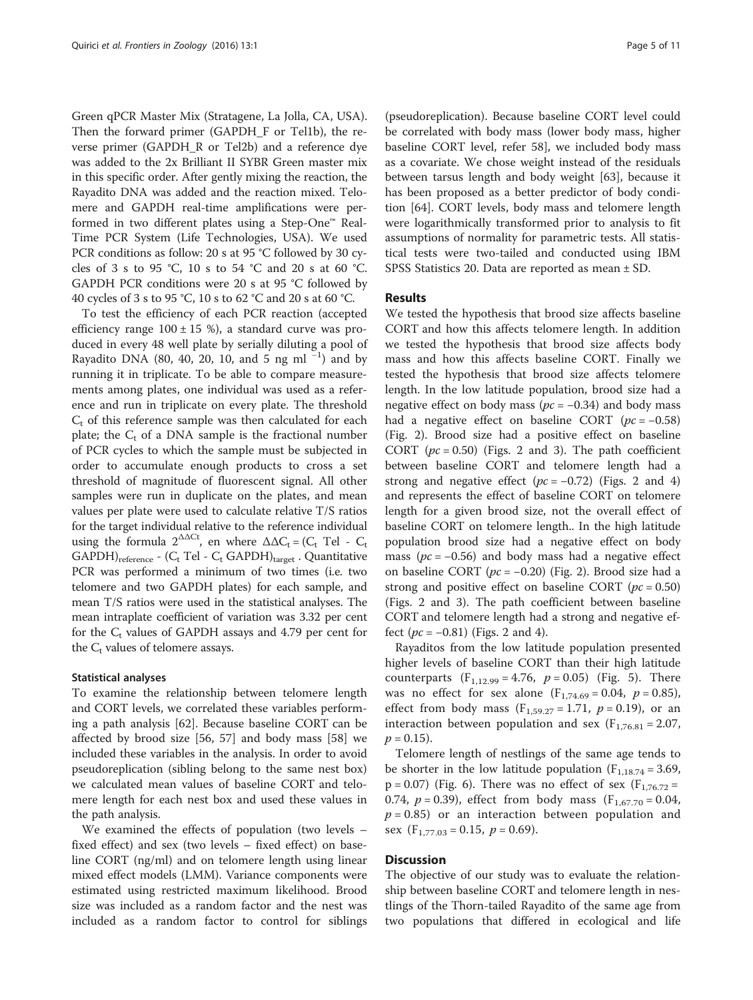Green qPCR Master Mix (Stratagene, La Jolla, CA, USA). Then the forward primer (GAPDH\_F or Tel1b), the reverse primer (GAPDH\_R or Tel2b) and a reference dye was added to the 2x Brilliant II SYBR Green master mix in this specific order. After gently mixing the reaction, the Rayadito DNA was added and the reaction mixed. Telomere and GAPDH real-time amplifications were performed in two different plates using a Step-One™ Real-Time PCR System (Life Technologies, USA). We used PCR conditions as follow: 20 s at 95 °C followed by 30 cycles of 3 s to 95 °C, 10 s to 54 °C and 20 s at 60 °C. GAPDH PCR conditions were 20 s at 95 °C followed by 40 cycles of 3 s to 95 °C, 10 s to 62 °C and 20 s at 60 °C.

To test the efficiency of each PCR reaction (accepted efficiency range  $100 \pm 15$  %), a standard curve was produced in every 48 well plate by serially diluting a pool of Rayadito DNA (80, 40, 20, 10, and 5 ng ml  $^{-1}$ ) and by running it in triplicate. To be able to compare measurements among plates, one individual was used as a reference and run in triplicate on every plate. The threshold  $C<sub>t</sub>$  of this reference sample was then calculated for each plate; the  $C_t$  of a DNA sample is the fractional number of PCR cycles to which the sample must be subjected in order to accumulate enough products to cross a set threshold of magnitude of fluorescent signal. All other samples were run in duplicate on the plates, and mean values per plate were used to calculate relative T/S ratios for the target individual relative to the reference individual using the formula  $2^{\Delta\Delta\text{C}t}$ , en where  $\Delta\Delta C_t = (C_t \text{ Tel} - C_t$  $GAPDH)_{reference}$  - (C<sub>t</sub> Tel - C<sub>t</sub> GAPDH)<sub>target</sub> . Quantitative PCR was performed a minimum of two times (i.e. two telomere and two GAPDH plates) for each sample, and mean T/S ratios were used in the statistical analyses. The mean intraplate coefficient of variation was 3.32 per cent for the  $C_t$  values of GAPDH assays and 4.79 per cent for the  $C_t$  values of telomere assays.

#### Statistical analyses

To examine the relationship between telomere length and CORT levels, we correlated these variables performing a path analysis [[62](#page-10-0)]. Because baseline CORT can be affected by brood size [\[56](#page-10-0), [57\]](#page-10-0) and body mass [\[58\]](#page-10-0) we included these variables in the analysis. In order to avoid pseudoreplication (sibling belong to the same nest box) we calculated mean values of baseline CORT and telomere length for each nest box and used these values in the path analysis.

We examined the effects of population (two levels – fixed effect) and sex (two levels – fixed effect) on baseline CORT (ng/ml) and on telomere length using linear mixed effect models (LMM). Variance components were estimated using restricted maximum likelihood. Brood size was included as a random factor and the nest was included as a random factor to control for siblings

(pseudoreplication). Because baseline CORT level could be correlated with body mass (lower body mass, higher baseline CORT level, refer 58], we included body mass as a covariate. We chose weight instead of the residuals between tarsus length and body weight [[63\]](#page-10-0), because it has been proposed as a better predictor of body condition [\[64\]](#page-10-0). CORT levels, body mass and telomere length were logarithmically transformed prior to analysis to fit assumptions of normality for parametric tests. All statistical tests were two-tailed and conducted using IBM SPSS Statistics 20. Data are reported as mean ± SD.

#### Results

We tested the hypothesis that brood size affects baseline CORT and how this affects telomere length. In addition we tested the hypothesis that brood size affects body mass and how this affects baseline CORT. Finally we tested the hypothesis that brood size affects telomere length. In the low latitude population, brood size had a negative effect on body mass ( $pc = -0.34$ ) and body mass had a negative effect on baseline CORT ( $pc = -0.58$ ) (Fig. [2\)](#page-5-0). Brood size had a positive effect on baseline CORT ( $pc = 0.50$ ) (Figs. [2](#page-5-0) and [3\)](#page-5-0). The path coefficient between baseline CORT and telomere length had a strong and negative effect ( $pc = -0.72$ ) (Figs. [2](#page-5-0) and [4](#page-6-0)) and represents the effect of baseline CORT on telomere length for a given brood size, not the overall effect of baseline CORT on telomere length.. In the high latitude population brood size had a negative effect on body mass ( $pc = -0.56$ ) and body mass had a negative effect on baseline CORT ( $pc = -0.20$ ) (Fig. [2](#page-5-0)). Brood size had a strong and positive effect on baseline CORT ( $pc = 0.50$ ) (Figs. [2](#page-5-0) and [3\)](#page-5-0). The path coefficient between baseline CORT and telomere length had a strong and negative effect  $(pc = -0.81)$  (Figs. [2](#page-5-0) and [4](#page-6-0)).

Rayaditos from the low latitude population presented higher levels of baseline CORT than their high latitude counterparts  $(F_{1,12,99} = 4.76, p = 0.05)$  (Fig. [5](#page-6-0)). There was no effect for sex alone  $(F_{1,74.69} = 0.04, p = 0.85)$ , effect from body mass  $(F_{1,59,27} = 1.71, p = 0.19)$ , or an interaction between population and sex  $(F_{1,76.81} = 2.07,$  $p = 0.15$ .

Telomere length of nestlings of the same age tends to be shorter in the low latitude population ( $F_{1,18,74} = 3.69$ ,  $p = 0.07$ ) (Fig. [6\)](#page-7-0). There was no effect of sex (F<sub>1,76.72</sub> = 0.74,  $p = 0.39$ ), effect from body mass ( $F_{1,67.70} = 0.04$ ,  $p = 0.85$ ) or an interaction between population and sex  $(F_{1,77.03} = 0.15, p = 0.69)$ .

#### **Discussion**

The objective of our study was to evaluate the relationship between baseline CORT and telomere length in nestlings of the Thorn-tailed Rayadito of the same age from two populations that differed in ecological and life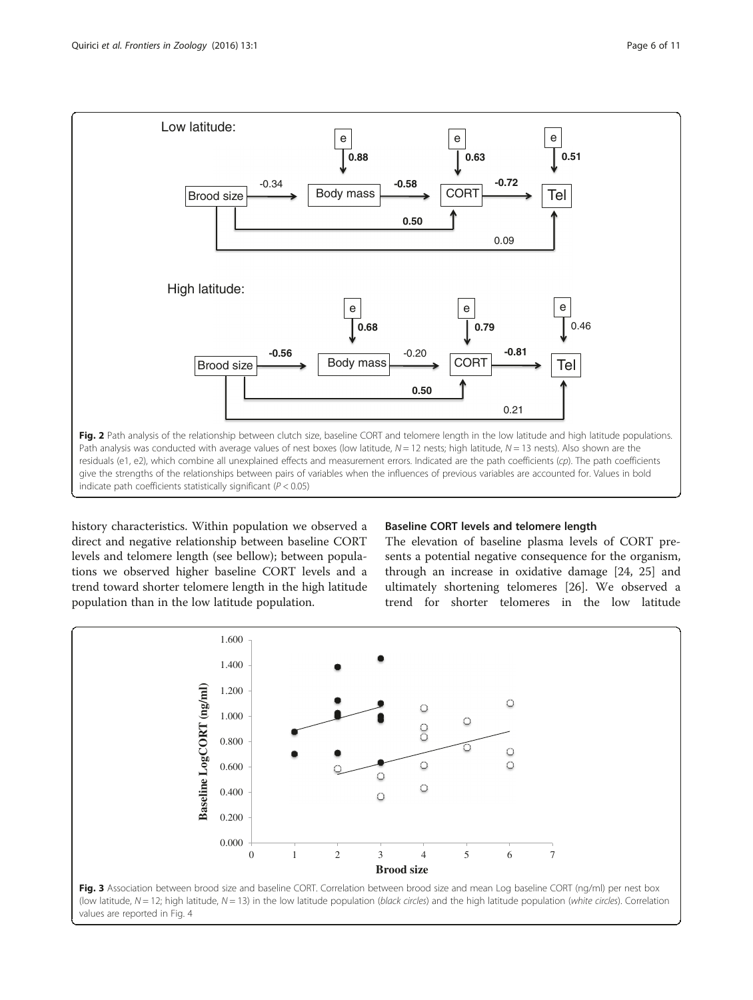<span id="page-5-0"></span>

history characteristics. Within population we observed a direct and negative relationship between baseline CORT levels and telomere length (see bellow); between populations we observed higher baseline CORT levels and a trend toward shorter telomere length in the high latitude population than in the low latitude population.

## Baseline CORT levels and telomere length

The elevation of baseline plasma levels of CORT presents a potential negative consequence for the organism, through an increase in oxidative damage [[24, 25](#page-9-0)] and ultimately shortening telomeres [\[26\]](#page-9-0). We observed a trend for shorter telomeres in the low latitude

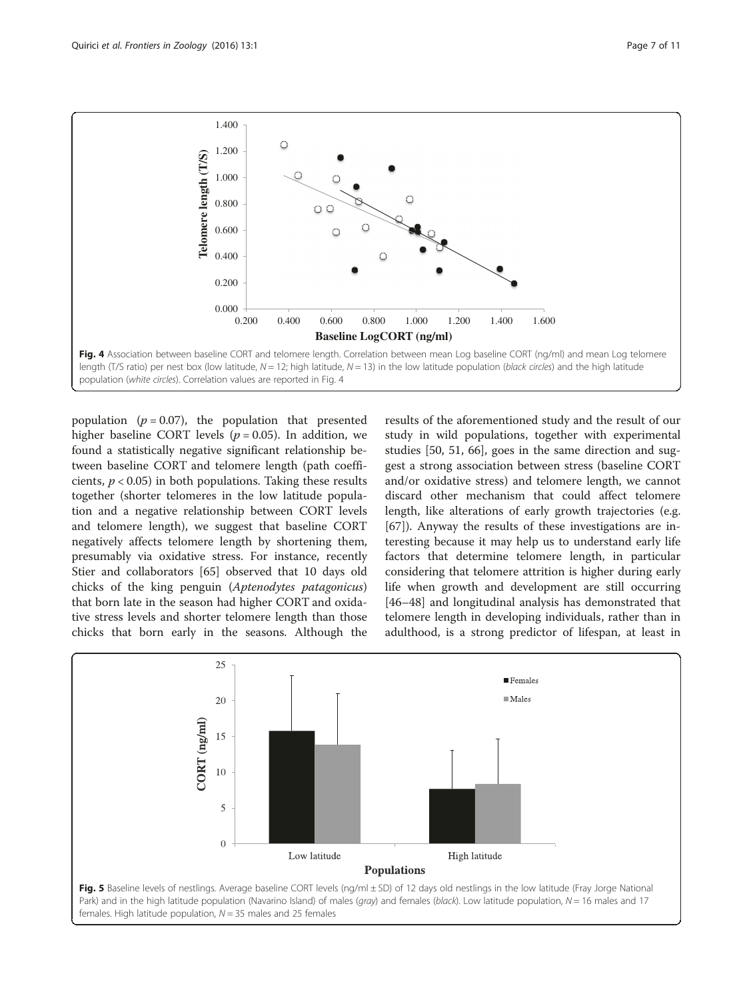<span id="page-6-0"></span>

population ( $p = 0.07$ ), the population that presented higher baseline CORT levels ( $p = 0.05$ ). In addition, we found a statistically negative significant relationship between baseline CORT and telomere length (path coefficients,  $p < 0.05$ ) in both populations. Taking these results together (shorter telomeres in the low latitude population and a negative relationship between CORT levels and telomere length), we suggest that baseline CORT negatively affects telomere length by shortening them, presumably via oxidative stress. For instance, recently Stier and collaborators [[65\]](#page-10-0) observed that 10 days old chicks of the king penguin (Aptenodytes patagonicus) that born late in the season had higher CORT and oxidative stress levels and shorter telomere length than those chicks that born early in the seasons. Although the

results of the aforementioned study and the result of our study in wild populations, together with experimental studies [[50](#page-9-0), [51,](#page-9-0) [66](#page-10-0)], goes in the same direction and suggest a strong association between stress (baseline CORT and/or oxidative stress) and telomere length, we cannot discard other mechanism that could affect telomere length, like alterations of early growth trajectories (e.g. [[67\]](#page-10-0)). Anyway the results of these investigations are interesting because it may help us to understand early life factors that determine telomere length, in particular considering that telomere attrition is higher during early life when growth and development are still occurring [[46](#page-9-0)–[48](#page-9-0)] and longitudinal analysis has demonstrated that telomere length in developing individuals, rather than in adulthood, is a strong predictor of lifespan, at least in

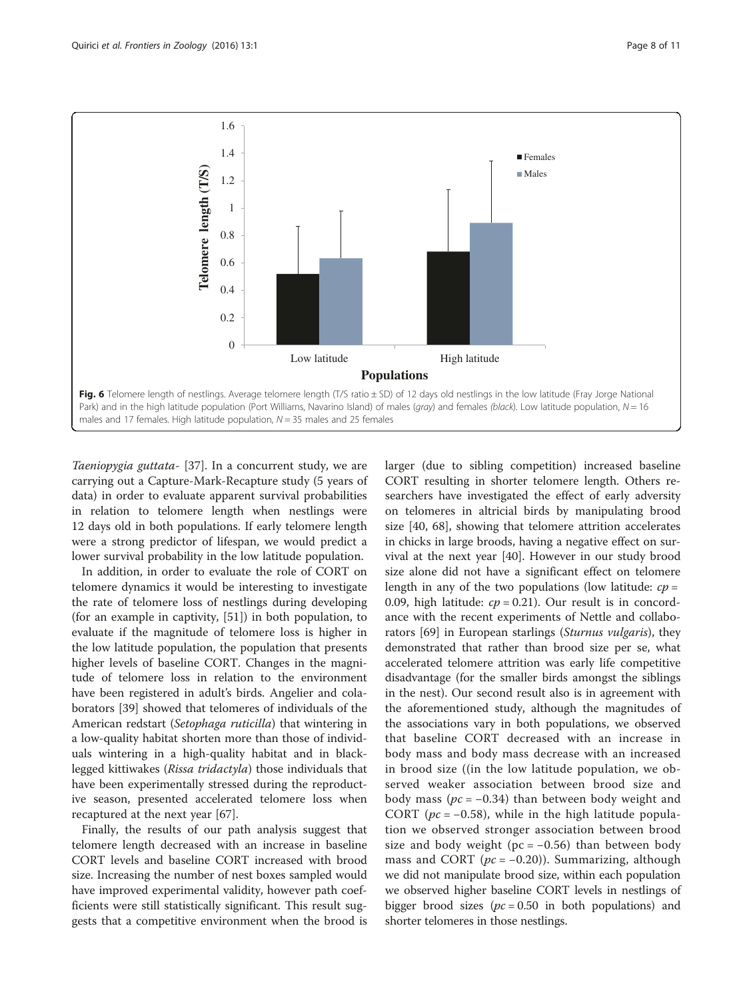<span id="page-7-0"></span>

Taeniopygia guttata- [[37\]](#page-9-0). In a concurrent study, we are carrying out a Capture-Mark-Recapture study (5 years of data) in order to evaluate apparent survival probabilities in relation to telomere length when nestlings were 12 days old in both populations. If early telomere length were a strong predictor of lifespan, we would predict a lower survival probability in the low latitude population.

In addition, in order to evaluate the role of CORT on telomere dynamics it would be interesting to investigate the rate of telomere loss of nestlings during developing (for an example in captivity, [[51\]](#page-9-0)) in both population, to evaluate if the magnitude of telomere loss is higher in the low latitude population, the population that presents higher levels of baseline CORT. Changes in the magnitude of telomere loss in relation to the environment have been registered in adult's birds. Angelier and colaborators [[39\]](#page-9-0) showed that telomeres of individuals of the American redstart (Setophaga ruticilla) that wintering in a low-quality habitat shorten more than those of individuals wintering in a high-quality habitat and in blacklegged kittiwakes (Rissa tridactyla) those individuals that have been experimentally stressed during the reproductive season, presented accelerated telomere loss when recaptured at the next year [[67](#page-10-0)].

Finally, the results of our path analysis suggest that telomere length decreased with an increase in baseline CORT levels and baseline CORT increased with brood size. Increasing the number of nest boxes sampled would have improved experimental validity, however path coefficients were still statistically significant. This result suggests that a competitive environment when the brood is larger (due to sibling competition) increased baseline CORT resulting in shorter telomere length. Others researchers have investigated the effect of early adversity on telomeres in altricial birds by manipulating brood size [[40](#page-9-0), [68](#page-10-0)], showing that telomere attrition accelerates in chicks in large broods, having a negative effect on survival at the next year [\[40\]](#page-9-0). However in our study brood size alone did not have a significant effect on telomere length in any of the two populations (low latitude:  $cp =$ 0.09, high latitude:  $cp = 0.21$ ). Our result is in concordance with the recent experiments of Nettle and collaborators [\[69\]](#page-10-0) in European starlings (Sturnus vulgaris), they demonstrated that rather than brood size per se, what accelerated telomere attrition was early life competitive disadvantage (for the smaller birds amongst the siblings in the nest). Our second result also is in agreement with the aforementioned study, although the magnitudes of the associations vary in both populations, we observed that baseline CORT decreased with an increase in body mass and body mass decrease with an increased in brood size ((in the low latitude population, we observed weaker association between brood size and body mass ( $pc = -0.34$ ) than between body weight and CORT ( $pc = -0.58$ ), while in the high latitude population we observed stronger association between brood size and body weight ( $pc = -0.56$ ) than between body mass and CORT ( $pc = -0.20$ )). Summarizing, although we did not manipulate brood size, within each population we observed higher baseline CORT levels in nestlings of bigger brood sizes ( $pc = 0.50$  in both populations) and shorter telomeres in those nestlings.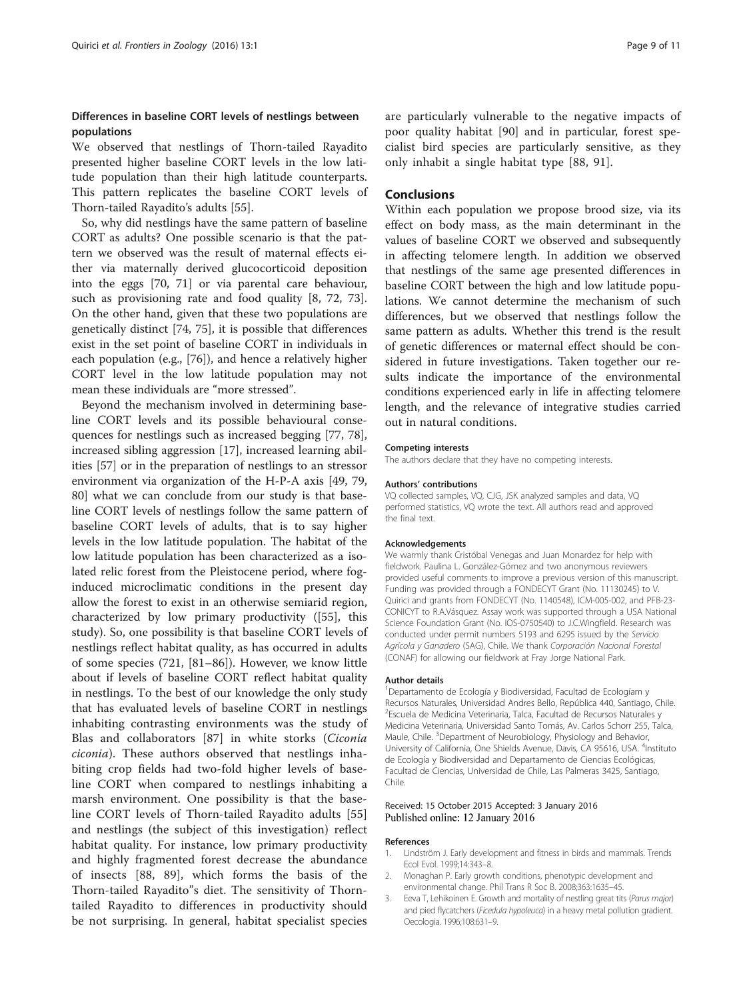## <span id="page-8-0"></span>Differences in baseline CORT levels of nestlings between populations

We observed that nestlings of Thorn-tailed Rayadito presented higher baseline CORT levels in the low latitude population than their high latitude counterparts. This pattern replicates the baseline CORT levels of Thorn-tailed Rayadito's adults [[55](#page-9-0)].

So, why did nestlings have the same pattern of baseline CORT as adults? One possible scenario is that the pattern we observed was the result of maternal effects either via maternally derived glucocorticoid deposition into the eggs [\[70, 71](#page-10-0)] or via parental care behaviour, such as provisioning rate and food quality [[8,](#page-9-0) [72, 73](#page-10-0)]. On the other hand, given that these two populations are genetically distinct [[74](#page-10-0), [75\]](#page-10-0), it is possible that differences exist in the set point of baseline CORT in individuals in each population (e.g., [[76](#page-10-0)]), and hence a relatively higher CORT level in the low latitude population may not mean these individuals are "more stressed".

Beyond the mechanism involved in determining baseline CORT levels and its possible behavioural consequences for nestlings such as increased begging [\[77, 78](#page-10-0)], increased sibling aggression [[17](#page-9-0)], increased learning abilities [\[57](#page-10-0)] or in the preparation of nestlings to an stressor environment via organization of the H-P-A axis [\[49,](#page-9-0) [79](#page-10-0), [80\]](#page-10-0) what we can conclude from our study is that baseline CORT levels of nestlings follow the same pattern of baseline CORT levels of adults, that is to say higher levels in the low latitude population. The habitat of the low latitude population has been characterized as a isolated relic forest from the Pleistocene period, where foginduced microclimatic conditions in the present day allow the forest to exist in an otherwise semiarid region, characterized by low primary productivity ([\[55](#page-9-0)], this study). So, one possibility is that baseline CORT levels of nestlings reflect habitat quality, as has occurred in adults of some species (721, [\[81](#page-10-0)–[86\]](#page-10-0)). However, we know little about if levels of baseline CORT reflect habitat quality in nestlings. To the best of our knowledge the only study that has evaluated levels of baseline CORT in nestlings inhabiting contrasting environments was the study of Blas and collaborators [[87\]](#page-10-0) in white storks (Ciconia ciconia). These authors observed that nestlings inhabiting crop fields had two-fold higher levels of baseline CORT when compared to nestlings inhabiting a marsh environment. One possibility is that the baseline CORT levels of Thorn-tailed Rayadito adults [\[55](#page-9-0)] and nestlings (the subject of this investigation) reflect habitat quality. For instance, low primary productivity and highly fragmented forest decrease the abundance of insects [\[88](#page-10-0), [89\]](#page-10-0), which forms the basis of the Thorn-tailed Rayadito"s diet. The sensitivity of Thorntailed Rayadito to differences in productivity should be not surprising. In general, habitat specialist species

are particularly vulnerable to the negative impacts of poor quality habitat [\[90](#page-10-0)] and in particular, forest specialist bird species are particularly sensitive, as they only inhabit a single habitat type [\[88](#page-10-0), [91\]](#page-10-0).

## Conclusions

Within each population we propose brood size, via its effect on body mass, as the main determinant in the values of baseline CORT we observed and subsequently in affecting telomere length. In addition we observed that nestlings of the same age presented differences in baseline CORT between the high and low latitude populations. We cannot determine the mechanism of such differences, but we observed that nestlings follow the same pattern as adults. Whether this trend is the result of genetic differences or maternal effect should be considered in future investigations. Taken together our results indicate the importance of the environmental conditions experienced early in life in affecting telomere length, and the relevance of integrative studies carried out in natural conditions.

#### Competing interests

The authors declare that they have no competing interests.

#### Authors' contributions

VQ collected samples, VQ, CJG, JSK analyzed samples and data, VQ performed statistics, VQ wrote the text. All authors read and approved the final text.

#### Acknowledgements

We warmly thank Cristóbal Venegas and Juan Monardez for help with fieldwork. Paulina L. González-Gómez and two anonymous reviewers provided useful comments to improve a previous version of this manuscript. Funding was provided through a FONDECYT Grant (No. 11130245) to V. Quirici and grants from FONDECYT (No. 1140548), ICM-005-002, and PFB-23- CONICYT to R.A.Vásquez. Assay work was supported through a USA National Science Foundation Grant (No. IOS-0750540) to J.C.Wingfield. Research was conducted under permit numbers 5193 and 6295 issued by the Servicio Agrícola y Ganadero (SAG), Chile. We thank Corporación Nacional Forestal (CONAF) for allowing our fieldwork at Fray Jorge National Park.

#### Author details

1 Departamento de Ecología y Biodiversidad, Facultad de Ecologíam y Recursos Naturales, Universidad Andres Bello, República 440, Santiago, Chile. <sup>2</sup>Escuela de Medicina Veterinaria, Talca, Facultad de Recursos Naturales y Medicina Veterinaria, Universidad Santo Tomás, Av. Carlos Schorr 255, Talca, Maule, Chile. <sup>3</sup>Department of Neurobiology, Physiology and Behavior, University of California, One Shields Avenue, Davis, CA 95616, USA. <sup>4</sup>Instituto de Ecología y Biodiversidad and Departamento de Ciencias Ecológicas, Facultad de Ciencias, Universidad de Chile, Las Palmeras 3425, Santiago, Chile.

#### Received: 15 October 2015 Accepted: 3 January 2016 Published online: 12 January 2016

#### References

- 1. Lindström J. Early development and fitness in birds and mammals. Trends Ecol Evol. 1999;14:343–8.
- 2. Monaghan P. Early growth conditions, phenotypic development and environmental change. Phil Trans R Soc B. 2008;363:1635–45.
- 3. Eeva T, Lehikoinen E. Growth and mortality of nestling great tits (Parus major) and pied flycatchers (Ficedula hypoleuca) in a heavy metal pollution gradient. Oecologia. 1996;108:631–9.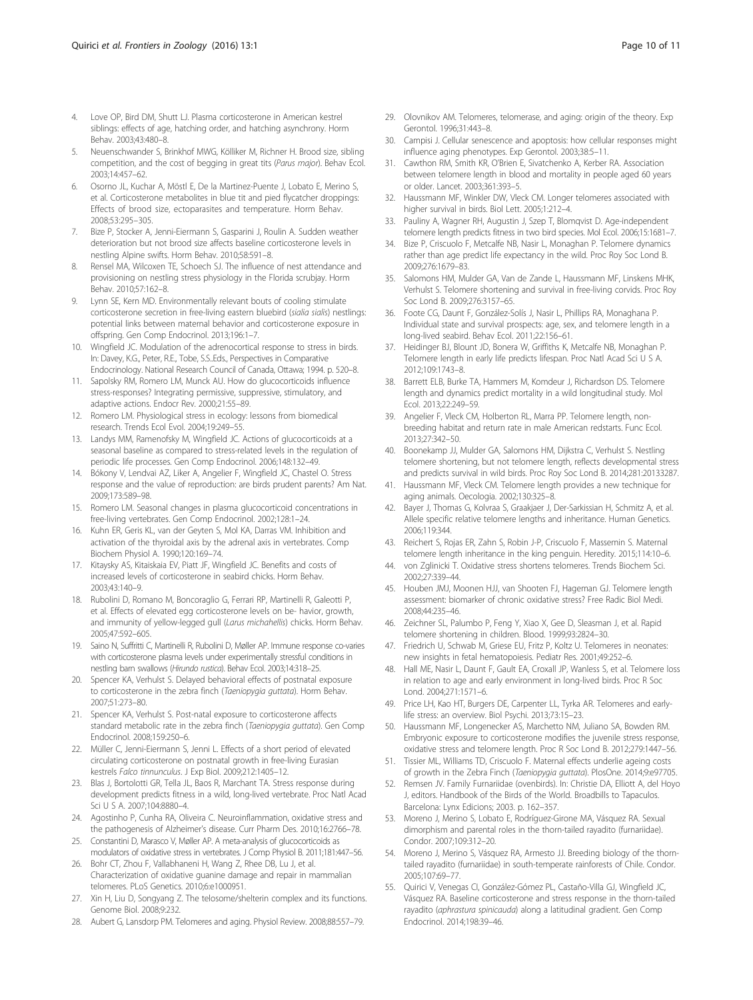- <span id="page-9-0"></span>4. Love OP, Bird DM, Shutt LJ. Plasma corticosterone in American kestrel siblings: effects of age, hatching order, and hatching asynchrony. Horm Behav. 2003;43:480–8.
- 5. Neuenschwander S, Brinkhof MWG, Kölliker M, Richner H. Brood size, sibling competition, and the cost of begging in great tits (Parus major). Behav Ecol. 2003;14:457–62.
- 6. Osorno JL, Kuchar A, Möstl E, De la Martinez-Puente J, Lobato E, Merino S, et al. Corticosterone metabolites in blue tit and pied flycatcher droppings: Effects of brood size, ectoparasites and temperature. Horm Behav. 2008;53:295–305.
- 7. Bize P, Stocker A, Jenni-Eiermann S, Gasparini J, Roulin A. Sudden weather deterioration but not brood size affects baseline corticosterone levels in nestling Alpine swifts. Horm Behav. 2010;58:591–8.
- 8. Rensel MA, Wilcoxen TE, Schoech SJ. The influence of nest attendance and provisioning on nestling stress physiology in the Florida scrubjay. Horm Behav. 2010;57:162–8.
- Lynn SE, Kern MD. Environmentally relevant bouts of cooling stimulate corticosterone secretion in free-living eastern bluebird (sialia sialis) nestlings: potential links between maternal behavior and corticosterone exposure in offspring. Gen Comp Endocrinol. 2013;196:1–7.
- 10. Wingfield JC. Modulation of the adrenocortical response to stress in birds. In: Davey, K.G., Peter, R.E., Tobe, S.S..Eds., Perspectives in Comparative Endocrinology. National Research Council of Canada, Ottawa; 1994. p. 520–8.
- 11. Sapolsky RM, Romero LM, Munck AU. How do glucocorticoids influence stress-responses? Integrating permissive, suppressive, stimulatory, and adaptive actions. Endocr Rev. 2000;21:55–89.
- 12. Romero LM. Physiological stress in ecology: lessons from biomedical research. Trends Ecol Evol. 2004;19:249–55.
- 13. Landys MM, Ramenofsky M, Wingfield JC. Actions of glucocorticoids at a seasonal baseline as compared to stress-related levels in the regulation of periodic life processes. Gen Comp Endocrinol. 2006;148:132–49.
- 14. Bókony V, Lendvai AZ, Liker A, Angelier F, Wingfield JC, Chastel O. Stress response and the value of reproduction: are birds prudent parents? Am Nat. 2009;173:589–98.
- 15. Romero LM. Seasonal changes in plasma glucocorticoid concentrations in free-living vertebrates. Gen Comp Endocrinol. 2002;128:1–24.
- 16. Kuhn ER, Geris KL, van der Geyten S, Mol KA, Darras VM. Inhibition and activation of the thyroidal axis by the adrenal axis in vertebrates. Comp Biochem Physiol A. 1990;120:169–74.
- 17. Kitaysky AS, Kitaiskaia EV, Piatt JF, Wingfield JC. Benefits and costs of increased levels of corticosterone in seabird chicks. Horm Behav. 2003;43:140–9.
- 18. Rubolini D, Romano M, Boncoraglio G, Ferrari RP, Martinelli R, Galeotti P, et al. Effects of elevated egg corticosterone levels on be- havior, growth, and immunity of yellow-legged gull (Larus michahellis) chicks. Horm Behav. 2005;47:592–605.
- 19. Saino N, Suffritti C, Martinelli R, Rubolini D, Møller AP. Immune response co-varies with corticosterone plasma levels under experimentally stressful conditions in nestling barn swallows (Hirundo rustica). Behav Ecol. 2003;14:318–25.
- 20. Spencer KA, Verhulst S. Delayed behavioral effects of postnatal exposure to corticosterone in the zebra finch (Taeniopygia guttata). Horm Behav. 2007;51:273–80.
- 21. Spencer KA, Verhulst S. Post-natal exposure to corticosterone affects standard metabolic rate in the zebra finch (Taeniopygia guttata). Gen Comp Endocrinol. 2008;159:250–6.
- 22. Müller C, Jenni-Eiermann S, Jenni L. Effects of a short period of elevated circulating corticosterone on postnatal growth in free-living Eurasian kestrels Falco tinnunculus. J Exp Biol. 2009;212:1405–12.
- 23. Blas J, Bortolotti GR, Tella JL, Baos R, Marchant TA. Stress response during development predicts fitness in a wild, long-lived vertebrate. Proc Natl Acad Sci U S A. 2007;104:8880–4.
- 24. Agostinho P, Cunha RA, Oliveira C. Neuroinflammation, oxidative stress and the pathogenesis of Alzheimer's disease. Curr Pharm Des. 2010;16:2766–78.
- 25. Constantini D, Marasco V, Møller AP. A meta-analysis of glucocorticoids as modulators of oxidative stress in vertebrates. J Comp Physiol B. 2011;181:447–56.
- 26. Bohr CT, Zhou F, Vallabhaneni H, Wang Z, Rhee DB, Lu J, et al. Characterization of oxidative guanine damage and repair in mammalian telomeres. PLoS Genetics. 2010;6:e1000951.
- 27. Xin H, Liu D, Songyang Z. The telosome/shelterin complex and its functions. Genome Biol. 2008;9:232.
- 28. Aubert G, Lansdorp PM. Telomeres and aging. Physiol Review. 2008;88:557–79.
- 29. Olovnikov AM. Telomeres, telomerase, and aging: origin of the theory. Exp Gerontol. 1996;31:443–8.
- 30. Campisi J. Cellular senescence and apoptosis: how cellular responses might influence aging phenotypes. Exp Gerontol. 2003;38:5–11.
- 31. Cawthon RM, Smith KR, O'Brien E, Sivatchenko A, Kerber RA. Association between telomere length in blood and mortality in people aged 60 years or older. Lancet. 2003;361:393–5.
- 32. Haussmann MF, Winkler DW, Vleck CM. Longer telomeres associated with higher survival in birds. Biol Lett. 2005;1:212–4.
- 33. Pauliny A, Wagner RH, Augustin J, Szep T, Blomqvist D. Age-independent telomere length predicts fitness in two bird species. Mol Ecol. 2006;15:1681–7.
- 34. Bize P, Criscuolo F, Metcalfe NB, Nasir L, Monaghan P. Telomere dynamics rather than age predict life expectancy in the wild. Proc Roy Soc Lond B. 2009;276:1679–83.
- 35. Salomons HM, Mulder GA, Van de Zande L, Haussmann MF, Linskens MHK, Verhulst S. Telomere shortening and survival in free-living corvids. Proc Roy Soc Lond B. 2009;276:3157–65.
- 36. Foote CG, Daunt F, González-Solís J, Nasir L, Phillips RA, Monaghana P. Individual state and survival prospects: age, sex, and telomere length in a long-lived seabird. Behav Ecol. 2011;22:156–61.
- 37. Heidinger BJ, Blount JD, Bonera W, Griffiths K, Metcalfe NB, Monaghan P. Telomere length in early life predicts lifespan. Proc Natl Acad Sci U S A. 2012;109:1743–8.
- 38. Barrett ELB, Burke TA, Hammers M, Komdeur J, Richardson DS. Telomere length and dynamics predict mortality in a wild longitudinal study. Mol Ecol. 2013;22:249–59.
- 39. Angelier F, Vleck CM, Holberton RL, Marra PP. Telomere length, nonbreeding habitat and return rate in male American redstarts. Func Ecol. 2013;27:342–50.
- 40. Boonekamp JJ, Mulder GA, Salomons HM, Dijkstra C, Verhulst S. Nestling telomere shortening, but not telomere length, reflects developmental stress and predicts survival in wild birds. Proc Roy Soc Lond B. 2014;281:20133287.
- 41. Haussmann MF, Vleck CM. Telomere length provides a new technique for aging animals. Oecologia. 2002;130:325–8.
- 42. Bayer J, Thomas G, Kolvraa S, Graakjaer J, Der-Sarkissian H, Schmitz A, et al. Allele specific relative telomere lengths and inheritance. Human Genetics. 2006;119:344.
- 43. Reichert S, Rojas ER, Zahn S, Robin J-P, Criscuolo F, Massemin S. Maternal telomere length inheritance in the king penguin. Heredity. 2015;114:10–6.
- 44. von Zglinicki T. Oxidative stress shortens telomeres. Trends Biochem Sci. 2002;27:339–44.
- 45. Houben JMJ, Moonen HJJ, van Shooten FJ, Hageman GJ. Telomere length assessment: biomarker of chronic oxidative stress? Free Radic Biol Medi. 2008;44:235–46.
- 46. Zeichner SL, Palumbo P, Feng Y, Xiao X, Gee D, Sleasman J, et al. Rapid telomere shortening in children. Blood. 1999;93:2824–30.
- 47. Friedrich U, Schwab M, Griese EU, Fritz P, Koltz U. Telomeres in neonates: new insights in fetal hematopoiesis. Pediatr Res. 2001;49:252–6.
- 48. Hall ME, Nasir L, Daunt F, Gault EA, Croxall JP, Wanless S, et al. Telomere loss in relation to age and early environment in long-lived birds. Proc R Soc Lond. 2004;271:1571–6.
- 49. Price LH, Kao HT, Burgers DE, Carpenter LL, Tyrka AR. Telomeres and earlylife stress: an overview. Biol Psychi. 2013;73:15–23.
- 50. Haussmann MF, Longenecker AS, Marchetto NM, Juliano SA, Bowden RM. Embryonic exposure to corticosterone modifies the juvenile stress response, oxidative stress and telomere length. Proc R Soc Lond B. 2012;279:1447–56.
- 51. Tissier ML, Williams TD, Criscuolo F. Maternal effects underlie ageing costs of growth in the Zebra Finch (Taeniopygia guttata). PlosOne. 2014;9:e97705.
- 52. Remsen JV. Family Furnariidae (ovenbirds). In: Christie DA, Elliott A, del Hoyo J, editors. Handbook of the Birds of the World. Broadbills to Tapaculos. Barcelona: Lynx Edicions; 2003. p. 162–357.
- 53. Moreno J, Merino S, Lobato E, Rodríguez-Girone MA, Vásquez RA. Sexual dimorphism and parental roles in the thorn-tailed rayadito (furnariidae). Condor. 2007;109:312–20.
- 54. Moreno J, Merino S, Vásquez RA, Armesto JJ. Breeding biology of the thorntailed rayadito (furnariidae) in south-temperate rainforests of Chile. Condor. 2005;107:69–77.
- 55. Quirici V, Venegas CI, González-Gómez PL, Castaño-Villa GJ, Wingfield JC, Vásquez RA. Baseline corticosterone and stress response in the thorn-tailed rayadito (aphrastura spinicauda) along a latitudinal gradient. Gen Comp Endocrinol. 2014;198:39–46.